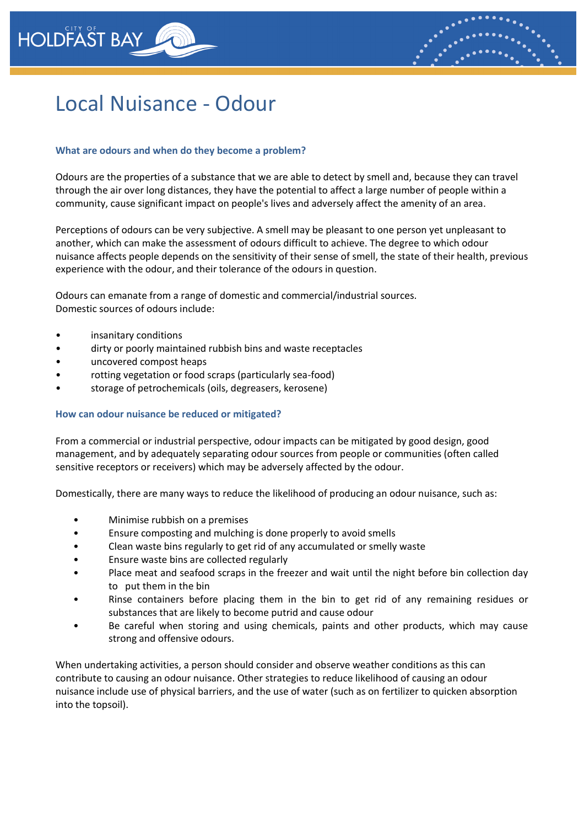



# Local Nuisance - Odour

## **What are odours and when do they become a problem?**

Odours are the properties of a substance that we are able to detect by smell and, because they can travel through the air over long distances, they have the potential to affect a large number of people within a community, cause significant impact on people's lives and adversely affect the amenity of an area.

Perceptions of odours can be very subjective. A smell may be pleasant to one person yet unpleasant to another, which can make the assessment of odours difficult to achieve. The degree to which odour nuisance affects people depends on the sensitivity of their sense of smell, the state of their health, previous experience with the odour, and their tolerance of the odours in question.

Odours can emanate from a range of domestic and commercial/industrial sources. Domestic sources of odours include:

- insanitary conditions
- dirty or poorly maintained rubbish bins and waste receptacles
- uncovered compost heaps
- rotting vegetation or food scraps (particularly sea-food)
- storage of petrochemicals (oils, degreasers, kerosene)

#### **How can odour nuisance be reduced or mitigated?**

From a commercial or industrial perspective, odour impacts can be mitigated by good design, good management, and by adequately separating odour sources from people or communities (often called sensitive receptors or receivers) which may be adversely affected by the odour.

Domestically, there are many ways to reduce the likelihood of producing an odour nuisance, such as:

- Minimise rubbish on a premises
- Ensure composting and mulching is done properly to avoid smells
- Clean waste bins regularly to get rid of any accumulated or smelly waste
- Ensure waste bins are collected regularly
- Place meat and seafood scraps in the freezer and wait until the night before bin collection day to put them in the bin
- Rinse containers before placing them in the bin to get rid of any remaining residues or substances that are likely to become putrid and cause odour
- Be careful when storing and using chemicals, paints and other products, which may cause strong and offensive odours.

When undertaking activities, a person should consider and observe weather conditions as this can contribute to causing an odour nuisance. Other strategies to reduce likelihood of causing an odour nuisance include use of physical barriers, and the use of water (such as on fertilizer to quicken absorption into the topsoil).